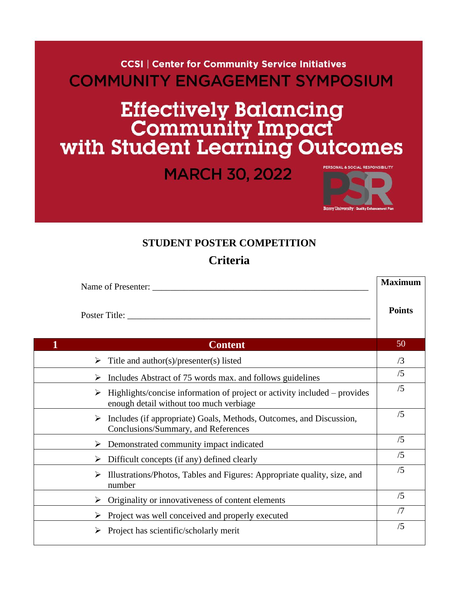**CCSI | Center for Community Service Initiatives COMMUNITY ENGAGEMENT SYMPOSIUM** 

## Effectively Balancing<br>Community Impact<br>with Student Learning Outcomes

**MARCH 30, 2022** 



**Maximum**

## **STUDENT POSTER COMPETITION**

**Criteria**

| Name of Presenter:                                                                                                        |               |
|---------------------------------------------------------------------------------------------------------------------------|---------------|
| Poster Title:                                                                                                             | <b>Points</b> |
| <b>Content</b>                                                                                                            | 50            |
| Title and $\text{author}(s)/\text{presenter}(s)$ listed                                                                   | /3            |
| Includes Abstract of 75 words max. and follows guidelines<br>⋗                                                            | /5            |
| Highlights/concise information of project or activity included – provides<br>➤<br>enough detail without too much verbiage | /5            |
| Includes (if appropriate) Goals, Methods, Outcomes, and Discussion,<br>➤<br>Conclusions/Summary, and References           | /5            |
| Demonstrated community impact indicated<br>➤                                                                              | /5            |
| Difficult concepts (if any) defined clearly<br>➤                                                                          | /5            |
| Illustrations/Photos, Tables and Figures: Appropriate quality, size, and<br>➤<br>number                                   | /5            |
| Originality or innovativeness of content elements<br>➤                                                                    | /5            |
| Project was well conceived and properly executed<br>➤                                                                     | /7            |
| Project has scientific/scholarly merit                                                                                    | /5            |